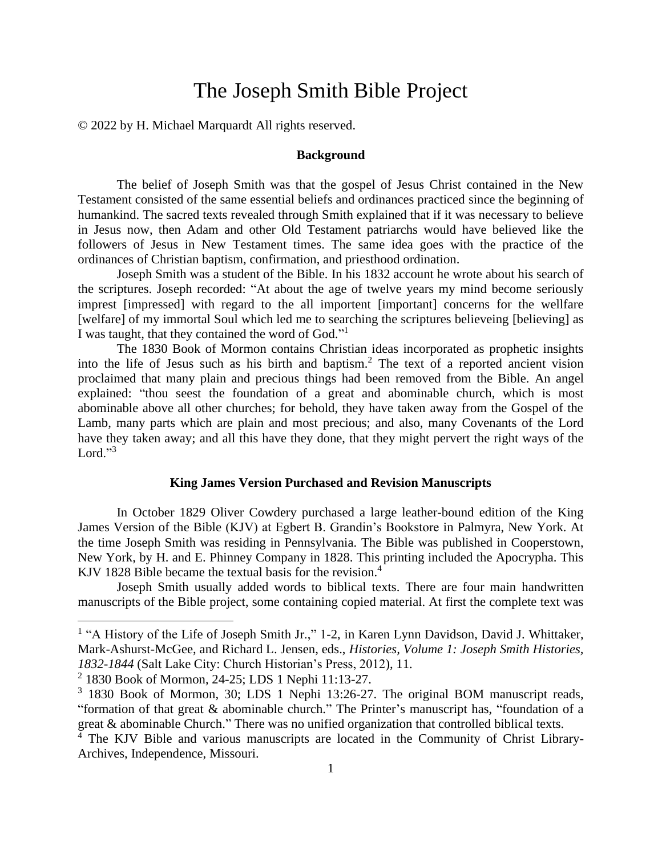# The Joseph Smith Bible Project

© 2022 by H. Michael Marquardt All rights reserved.

# **Background**

The belief of Joseph Smith was that the gospel of Jesus Christ contained in the New Testament consisted of the same essential beliefs and ordinances practiced since the beginning of humankind. The sacred texts revealed through Smith explained that if it was necessary to believe in Jesus now, then Adam and other Old Testament patriarchs would have believed like the followers of Jesus in New Testament times. The same idea goes with the practice of the ordinances of Christian baptism, confirmation, and priesthood ordination.

Joseph Smith was a student of the Bible. In his 1832 account he wrote about his search of the scriptures. Joseph recorded: "At about the age of twelve years my mind become seriously imprest [impressed] with regard to the all importent [important] concerns for the wellfare [welfare] of my immortal Soul which led me to searching the scriptures believeing [believing] as I was taught, that they contained the word of God."<sup>1</sup>

The 1830 Book of Mormon contains Christian ideas incorporated as prophetic insights into the life of Jesus such as his birth and baptism.<sup>2</sup> The text of a reported ancient vision proclaimed that many plain and precious things had been removed from the Bible. An angel explained: "thou seest the foundation of a great and abominable church, which is most abominable above all other churches; for behold, they have taken away from the Gospel of the Lamb, many parts which are plain and most precious; and also, many Covenants of the Lord have they taken away; and all this have they done, that they might pervert the right ways of the Lord." $3$ 

## **King James Version Purchased and Revision Manuscripts**

In October 1829 Oliver Cowdery purchased a large leather-bound edition of the King James Version of the Bible (KJV) at Egbert B. Grandin's Bookstore in Palmyra, New York. At the time Joseph Smith was residing in Pennsylvania. The Bible was published in Cooperstown, New York, by H. and E. Phinney Company in 1828. This printing included the Apocrypha. This KJV 1828 Bible became the textual basis for the revision.<sup>4</sup>

Joseph Smith usually added words to biblical texts. There are four main handwritten manuscripts of the Bible project, some containing copied material. At first the complete text was

<sup>&</sup>lt;sup>1</sup> "A History of the Life of Joseph Smith Jr.," 1-2, in Karen Lynn Davidson, David J. Whittaker, Mark-Ashurst-McGee, and Richard L. Jensen, eds., *Histories, Volume 1: Joseph Smith Histories, 1832-1844* (Salt Lake City: Church Historian's Press, 2012), 11.

<sup>2</sup> 1830 Book of Mormon, 24-25; LDS 1 Nephi 11:13-27.

<sup>&</sup>lt;sup>3</sup> 1830 Book of Mormon, 30; LDS 1 Nephi 13:26-27. The original BOM manuscript reads, "formation of that great & abominable church." The Printer's manuscript has, "foundation of a great & abominable Church." There was no unified organization that controlled biblical texts.

<sup>&</sup>lt;sup>4</sup> The KJV Bible and various manuscripts are located in the Community of Christ Library-Archives, Independence, Missouri.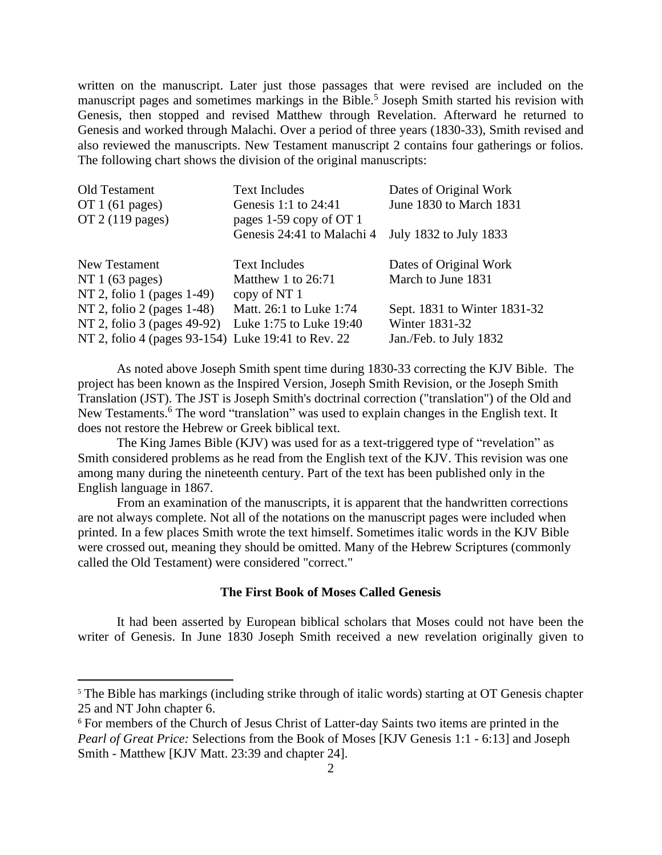written on the manuscript. Later just those passages that were revised are included on the manuscript pages and sometimes markings in the Bible.<sup>5</sup> Joseph Smith started his revision with Genesis, then stopped and revised Matthew through Revelation. Afterward he returned to Genesis and worked through Malachi. Over a period of three years (1830-33), Smith revised and also reviewed the manuscripts. New Testament manuscript 2 contains four gatherings or folios. The following chart shows the division of the original manuscripts:

| Old Testament                                      | <b>Text Includes</b>       | Dates of Original Work       |
|----------------------------------------------------|----------------------------|------------------------------|
| OT $1(61$ pages)                                   | Genesis 1:1 to 24:41       | June 1830 to March 1831      |
| OT $2(119$ pages)                                  | pages 1-59 copy of OT 1    |                              |
|                                                    | Genesis 24:41 to Malachi 4 | July 1832 to July 1833       |
| New Testament                                      | <b>Text Includes</b>       | Dates of Original Work       |
| NT 1 $(63 \text{ pages})$                          | Matthew 1 to 26:71         | March to June 1831           |
| NT 2, folio 1 (pages 1-49)                         | copy of NT 1               |                              |
| NT 2, folio 2 (pages 1-48)                         | Matt. 26:1 to Luke 1:74    | Sept. 1831 to Winter 1831-32 |
| NT 2, folio 3 (pages 49-92)                        | Luke 1:75 to Luke 19:40    | Winter 1831-32               |
| NT 2, folio 4 (pages 93-154) Luke 19:41 to Rev. 22 |                            | Jan./Feb. to July 1832       |

As noted above Joseph Smith spent time during 1830-33 correcting the KJV Bible. The project has been known as the Inspired Version, Joseph Smith Revision, or the Joseph Smith Translation (JST). The JST is Joseph Smith's doctrinal correction ("translation") of the Old and New Testaments.<sup>6</sup> The word "translation" was used to explain changes in the English text. It does not restore the Hebrew or Greek biblical text.

The King James Bible (KJV) was used for as a text-triggered type of "revelation" as Smith considered problems as he read from the English text of the KJV. This revision was one among many during the nineteenth century. Part of the text has been published only in the English language in 1867.

From an examination of the manuscripts, it is apparent that the handwritten corrections are not always complete. Not all of the notations on the manuscript pages were included when printed. In a few places Smith wrote the text himself. Sometimes italic words in the KJV Bible were crossed out, meaning they should be omitted. Many of the Hebrew Scriptures (commonly called the Old Testament) were considered "correct."

#### **The First Book of Moses Called Genesis**

It had been asserted by European biblical scholars that Moses could not have been the writer of Genesis. In June 1830 Joseph Smith received a new revelation originally given to

<sup>&</sup>lt;sup>5</sup> The Bible has markings (including strike through of italic words) starting at OT Genesis chapter 25 and NT John chapter 6.

<sup>&</sup>lt;sup>6</sup> For members of the Church of Jesus Christ of Latter-day Saints two items are printed in the *Pearl of Great Price:* Selections from the Book of Moses [KJV Genesis 1:1 - 6:13] and Joseph Smith - Matthew [KJV Matt. 23:39 and chapter 24].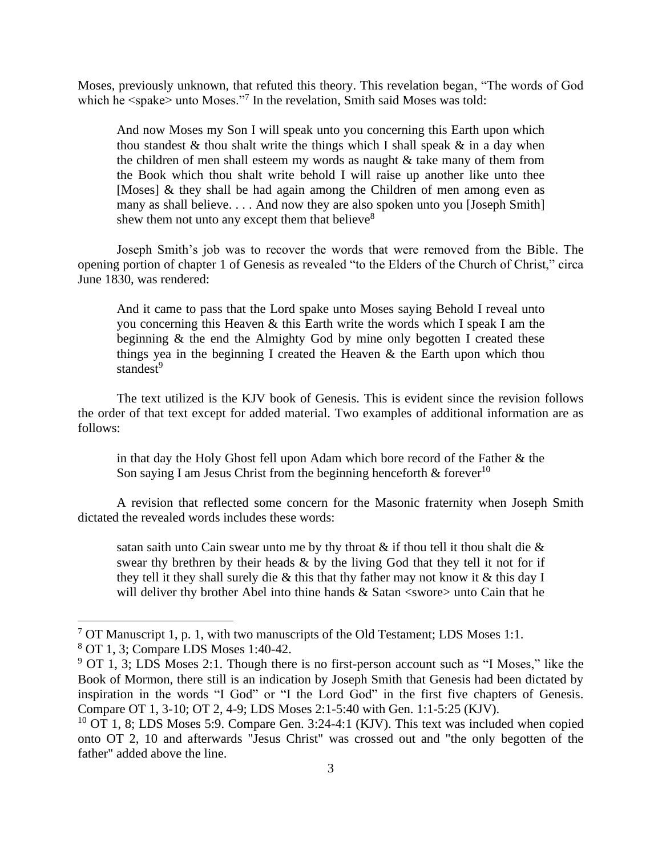Moses, previously unknown, that refuted this theory. This revelation began, "The words of God which he  $\langle$ spake> unto Moses."<sup>7</sup> In the revelation, Smith said Moses was told:

And now Moses my Son I will speak unto you concerning this Earth upon which thou standest  $\&$  thou shalt write the things which I shall speak  $\&$  in a day when the children of men shall esteem my words as naught & take many of them from the Book which thou shalt write behold I will raise up another like unto thee [Moses] & they shall be had again among the Children of men among even as many as shall believe. . . . And now they are also spoken unto you [Joseph Smith] shew them not unto any except them that believe<sup>8</sup>

Joseph Smith's job was to recover the words that were removed from the Bible. The opening portion of chapter 1 of Genesis as revealed "to the Elders of the Church of Christ," circa June 1830, was rendered:

And it came to pass that the Lord spake unto Moses saying Behold I reveal unto you concerning this Heaven & this Earth write the words which I speak I am the beginning & the end the Almighty God by mine only begotten I created these things yea in the beginning I created the Heaven & the Earth upon which thou standest<sup>9</sup>

The text utilized is the KJV book of Genesis. This is evident since the revision follows the order of that text except for added material. Two examples of additional information are as follows:

in that day the Holy Ghost fell upon Adam which bore record of the Father & the Son saying I am Jesus Christ from the beginning henceforth  $\&$  forever<sup>10</sup>

A revision that reflected some concern for the Masonic fraternity when Joseph Smith dictated the revealed words includes these words:

satan saith unto Cain swear unto me by thy throat  $\&$  if thou tell it thou shalt die  $\&$ swear thy brethren by their heads  $\&$  by the living God that they tell it not for if they tell it they shall surely die & this that thy father may not know it & this day I will deliver thy brother Abel into thine hands  $& Satan <$ swore $>$  unto Cain that he

<sup>&</sup>lt;sup>7</sup> OT Manuscript 1, p. 1, with two manuscripts of the Old Testament; LDS Moses 1:1.

<sup>8</sup> OT 1, 3; Compare LDS Moses 1:40-42.

 $9$  OT 1, 3; LDS Moses 2:1. Though there is no first-person account such as "I Moses," like the Book of Mormon, there still is an indication by Joseph Smith that Genesis had been dictated by inspiration in the words "I God" or "I the Lord God" in the first five chapters of Genesis. Compare OT 1, 3-10; OT 2, 4-9; LDS Moses 2:1-5:40 with Gen. 1:1-5:25 (KJV).

<sup>&</sup>lt;sup>10</sup> OT 1, 8; LDS Moses 5:9. Compare Gen. 3:24-4:1 (KJV). This text was included when copied onto OT 2, 10 and afterwards "Jesus Christ" was crossed out and "the only begotten of the father" added above the line.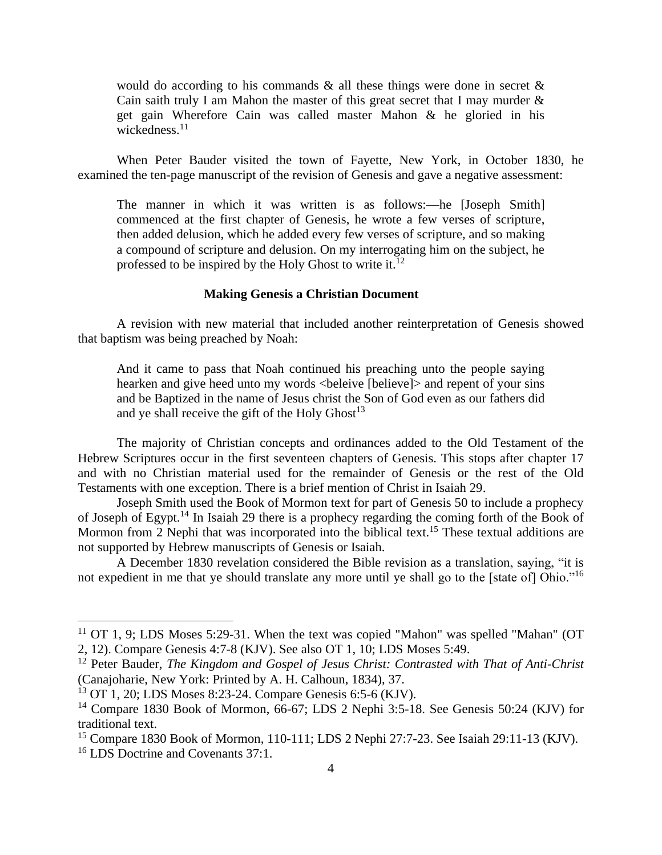would do according to his commands  $\&$  all these things were done in secret  $\&$ Cain saith truly I am Mahon the master of this great secret that I may murder  $\&$ get gain Wherefore Cain was called master Mahon & he gloried in his wickedness. 11

When Peter Bauder visited the town of Fayette, New York, in October 1830, he examined the ten-page manuscript of the revision of Genesis and gave a negative assessment:

The manner in which it was written is as follows:—he [Joseph Smith] commenced at the first chapter of Genesis, he wrote a few verses of scripture, then added delusion, which he added every few verses of scripture, and so making a compound of scripture and delusion. On my interrogating him on the subject, he professed to be inspired by the Holy Ghost to write it. $^{12}$ 

## **Making Genesis a Christian Document**

A revision with new material that included another reinterpretation of Genesis showed that baptism was being preached by Noah:

And it came to pass that Noah continued his preaching unto the people saying hearken and give heed unto my words <br/>beleive [believe]> and repent of your sins and be Baptized in the name of Jesus christ the Son of God even as our fathers did and ye shall receive the gift of the Holy  $G$ host<sup>13</sup>

The majority of Christian concepts and ordinances added to the Old Testament of the Hebrew Scriptures occur in the first seventeen chapters of Genesis. This stops after chapter 17 and with no Christian material used for the remainder of Genesis or the rest of the Old Testaments with one exception. There is a brief mention of Christ in Isaiah 29.

Joseph Smith used the Book of Mormon text for part of Genesis 50 to include a prophecy of Joseph of Egypt.<sup>14</sup> In Isaiah 29 there is a prophecy regarding the coming forth of the Book of Mormon from 2 Nephi that was incorporated into the biblical text.<sup>15</sup> These textual additions are not supported by Hebrew manuscripts of Genesis or Isaiah.

A December 1830 revelation considered the Bible revision as a translation, saying, "it is not expedient in me that ye should translate any more until ye shall go to the [state of] Ohio."<sup>16</sup>

 $11$  OT 1, 9; LDS Moses 5:29-31. When the text was copied "Mahon" was spelled "Mahan" (OT 2, 12). Compare Genesis 4:7-8 (KJV). See also OT 1, 10; LDS Moses 5:49.

<sup>12</sup> Peter Bauder, *The Kingdom and Gospel of Jesus Christ: Contrasted with That of Anti-Christ* (Canajoharie, New York: Printed by A. H. Calhoun, 1834), 37.

<sup>13</sup> OT 1, 20; LDS Moses 8:23-24. Compare Genesis 6:5-6 (KJV).

<sup>&</sup>lt;sup>14</sup> Compare 1830 Book of Mormon, 66-67; LDS 2 Nephi 3:5-18. See Genesis 50:24 (KJV) for traditional text.

<sup>&</sup>lt;sup>15</sup> Compare 1830 Book of Mormon, 110-111; LDS 2 Nephi 27:7-23. See Isaiah 29:11-13 (KJV). <sup>16</sup> LDS Doctrine and Covenants 37:1.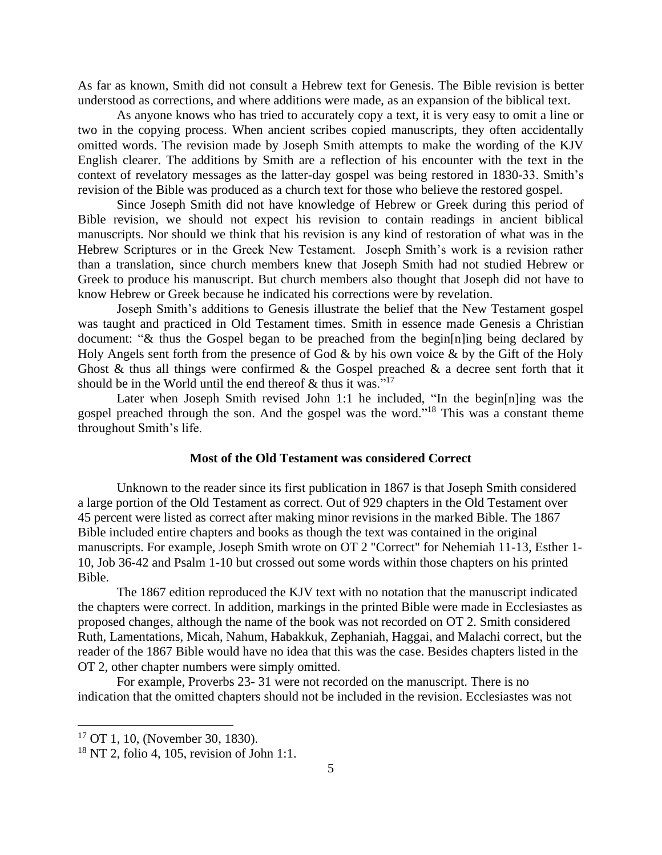As far as known, Smith did not consult a Hebrew text for Genesis. The Bible revision is better understood as corrections, and where additions were made, as an expansion of the biblical text.

As anyone knows who has tried to accurately copy a text, it is very easy to omit a line or two in the copying process. When ancient scribes copied manuscripts, they often accidentally omitted words. The revision made by Joseph Smith attempts to make the wording of the KJV English clearer. The additions by Smith are a reflection of his encounter with the text in the context of revelatory messages as the latter-day gospel was being restored in 1830-33. Smith's revision of the Bible was produced as a church text for those who believe the restored gospel.

Since Joseph Smith did not have knowledge of Hebrew or Greek during this period of Bible revision, we should not expect his revision to contain readings in ancient biblical manuscripts. Nor should we think that his revision is any kind of restoration of what was in the Hebrew Scriptures or in the Greek New Testament. Joseph Smith's work is a revision rather than a translation, since church members knew that Joseph Smith had not studied Hebrew or Greek to produce his manuscript. But church members also thought that Joseph did not have to know Hebrew or Greek because he indicated his corrections were by revelation.

Joseph Smith's additions to Genesis illustrate the belief that the New Testament gospel was taught and practiced in Old Testament times. Smith in essence made Genesis a Christian document: "& thus the Gospel began to be preached from the begin[n]ing being declared by Holy Angels sent forth from the presence of God  $\&$  by his own voice  $\&$  by the Gift of the Holy Ghost & thus all things were confirmed & the Gospel preached & a decree sent forth that it should be in the World until the end thereof  $\&$  thus it was."<sup>17</sup>

Later when Joseph Smith revised John 1:1 he included, "In the begin[n]ing was the gospel preached through the son. And the gospel was the word."<sup>18</sup> This was a constant theme throughout Smith's life.

#### **Most of the Old Testament was considered Correct**

Unknown to the reader since its first publication in 1867 is that Joseph Smith considered a large portion of the Old Testament as correct. Out of 929 chapters in the Old Testament over 45 percent were listed as correct after making minor revisions in the marked Bible. The 1867 Bible included entire chapters and books as though the text was contained in the original manuscripts. For example, Joseph Smith wrote on OT 2 "Correct" for Nehemiah 11-13, Esther 1- 10, Job 36-42 and Psalm 1-10 but crossed out some words within those chapters on his printed Bible.

The 1867 edition reproduced the KJV text with no notation that the manuscript indicated the chapters were correct. In addition, markings in the printed Bible were made in Ecclesiastes as proposed changes, although the name of the book was not recorded on OT 2. Smith considered Ruth, Lamentations, Micah, Nahum, Habakkuk, Zephaniah, Haggai, and Malachi correct, but the reader of the 1867 Bible would have no idea that this was the case. Besides chapters listed in the OT 2, other chapter numbers were simply omitted.

For example, Proverbs 23- 31 were not recorded on the manuscript. There is no indication that the omitted chapters should not be included in the revision. Ecclesiastes was not

 $17$  OT 1, 10, (November 30, 1830).

 $18$  NT 2, folio 4, 105, revision of John 1:1.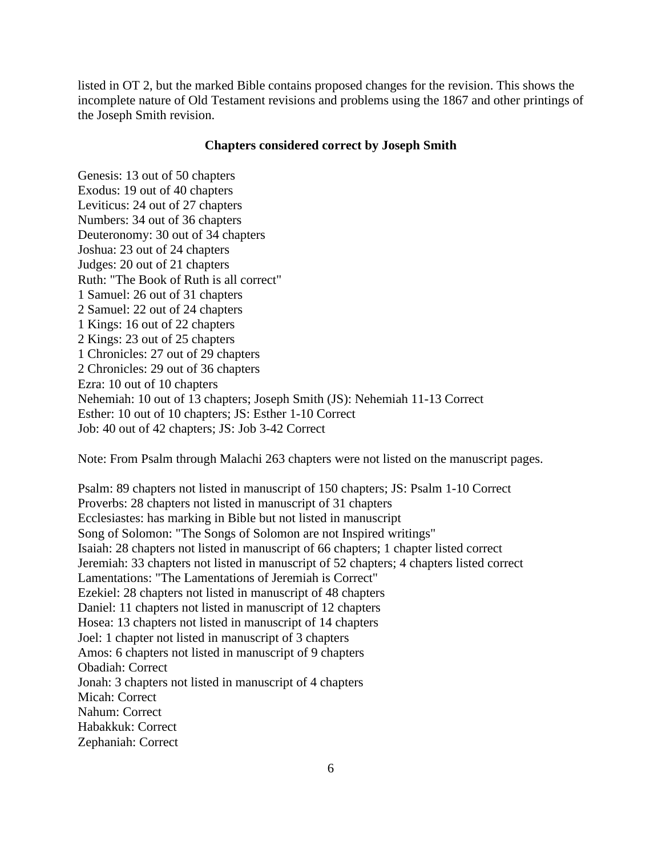listed in OT 2, but the marked Bible contains proposed changes for the revision. This shows the incomplete nature of Old Testament revisions and problems using the 1867 and other printings of the Joseph Smith revision.

## **Chapters considered correct by Joseph Smith**

Genesis: 13 out of 50 chapters Exodus: 19 out of 40 chapters Leviticus: 24 out of 27 chapters Numbers: 34 out of 36 chapters Deuteronomy: 30 out of 34 chapters Joshua: 23 out of 24 chapters Judges: 20 out of 21 chapters Ruth: "The Book of Ruth is all correct" 1 Samuel: 26 out of 31 chapters 2 Samuel: 22 out of 24 chapters 1 Kings: 16 out of 22 chapters 2 Kings: 23 out of 25 chapters 1 Chronicles: 27 out of 29 chapters 2 Chronicles: 29 out of 36 chapters Ezra: 10 out of 10 chapters Nehemiah: 10 out of 13 chapters; Joseph Smith (JS): Nehemiah 11-13 Correct Esther: 10 out of 10 chapters; JS: Esther 1-10 Correct Job: 40 out of 42 chapters; JS: Job 3-42 Correct

Note: From Psalm through Malachi 263 chapters were not listed on the manuscript pages.

Psalm: 89 chapters not listed in manuscript of 150 chapters; JS: Psalm 1-10 Correct Proverbs: 28 chapters not listed in manuscript of 31 chapters Ecclesiastes: has marking in Bible but not listed in manuscript Song of Solomon: "The Songs of Solomon are not Inspired writings" Isaiah: 28 chapters not listed in manuscript of 66 chapters; 1 chapter listed correct Jeremiah: 33 chapters not listed in manuscript of 52 chapters; 4 chapters listed correct Lamentations: "The Lamentations of Jeremiah is Correct" Ezekiel: 28 chapters not listed in manuscript of 48 chapters Daniel: 11 chapters not listed in manuscript of 12 chapters Hosea: 13 chapters not listed in manuscript of 14 chapters Joel: 1 chapter not listed in manuscript of 3 chapters Amos: 6 chapters not listed in manuscript of 9 chapters Obadiah: Correct Jonah: 3 chapters not listed in manuscript of 4 chapters Micah: Correct Nahum: Correct Habakkuk: Correct Zephaniah: Correct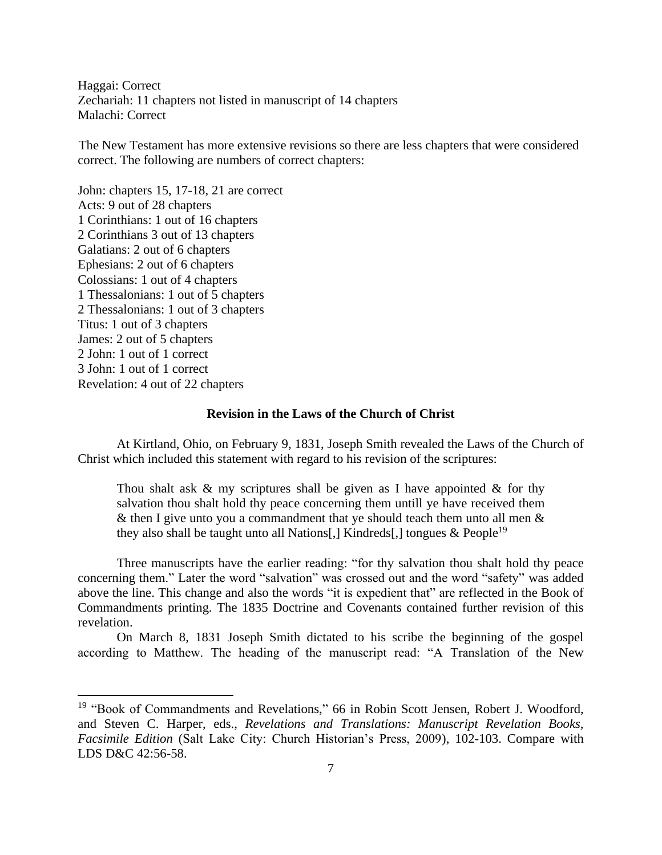Haggai: Correct Zechariah: 11 chapters not listed in manuscript of 14 chapters Malachi: Correct

The New Testament has more extensive revisions so there are less chapters that were considered correct. The following are numbers of correct chapters:

John: chapters 15, 17-18, 21 are correct Acts: 9 out of 28 chapters 1 Corinthians: 1 out of 16 chapters 2 Corinthians 3 out of 13 chapters Galatians: 2 out of 6 chapters Ephesians: 2 out of 6 chapters Colossians: 1 out of 4 chapters 1 Thessalonians: 1 out of 5 chapters 2 Thessalonians: 1 out of 3 chapters Titus: 1 out of 3 chapters James: 2 out of 5 chapters 2 John: 1 out of 1 correct 3 John: 1 out of 1 correct Revelation: 4 out of 22 chapters

## **Revision in the Laws of the Church of Christ**

At Kirtland, Ohio, on February 9, 1831, Joseph Smith revealed the Laws of the Church of Christ which included this statement with regard to his revision of the scriptures:

Thou shalt ask  $\&$  my scriptures shall be given as I have appointed  $\&$  for thy salvation thou shalt hold thy peace concerning them untill ye have received them & then I give unto you a commandment that ye should teach them unto all men  $\&$ they also shall be taught unto all Nations[,] Kindreds[,] tongues  $\&$  People<sup>19</sup>

Three manuscripts have the earlier reading: "for thy salvation thou shalt hold thy peace concerning them." Later the word "salvation" was crossed out and the word "safety" was added above the line. This change and also the words "it is expedient that" are reflected in the Book of Commandments printing. The 1835 Doctrine and Covenants contained further revision of this revelation.

On March 8, 1831 Joseph Smith dictated to his scribe the beginning of the gospel according to Matthew. The heading of the manuscript read: "A Translation of the New

<sup>&</sup>lt;sup>19</sup> "Book of Commandments and Revelations," 66 in Robin Scott Jensen, Robert J. Woodford, and Steven C. Harper, eds., *Revelations and Translations: Manuscript Revelation Books, Facsimile Edition* (Salt Lake City: Church Historian's Press, 2009), 102-103. Compare with LDS D&C 42:56-58.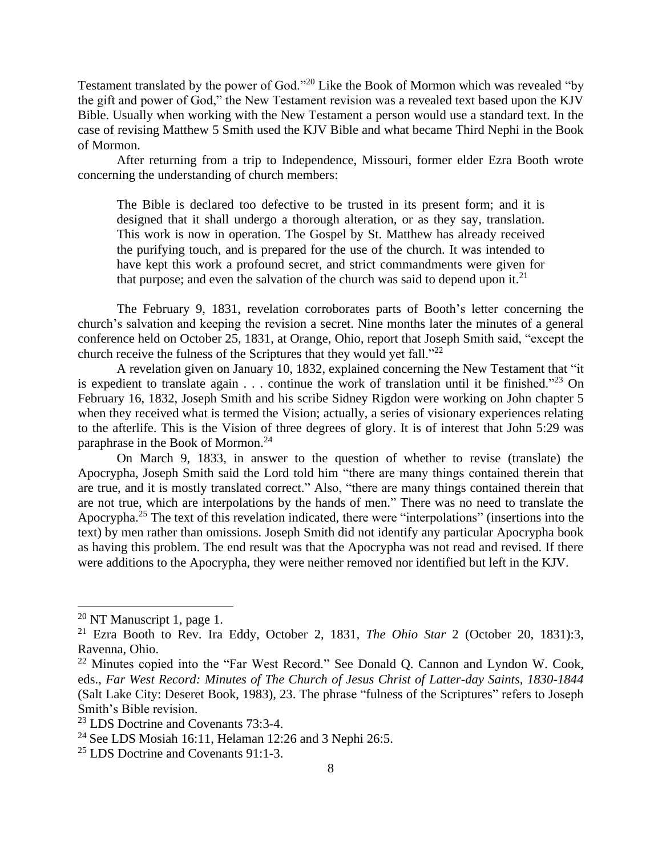Testament translated by the power of God."<sup>20</sup> Like the Book of Mormon which was revealed "by the gift and power of God," the New Testament revision was a revealed text based upon the KJV Bible. Usually when working with the New Testament a person would use a standard text. In the case of revising Matthew 5 Smith used the KJV Bible and what became Third Nephi in the Book of Mormon.

After returning from a trip to Independence, Missouri, former elder Ezra Booth wrote concerning the understanding of church members:

The Bible is declared too defective to be trusted in its present form; and it is designed that it shall undergo a thorough alteration, or as they say, translation. This work is now in operation. The Gospel by St. Matthew has already received the purifying touch, and is prepared for the use of the church. It was intended to have kept this work a profound secret, and strict commandments were given for that purpose; and even the salvation of the church was said to depend upon it.<sup>21</sup>

The February 9, 1831, revelation corroborates parts of Booth's letter concerning the church's salvation and keeping the revision a secret. Nine months later the minutes of a general conference held on October 25, 1831, at Orange, Ohio, report that Joseph Smith said, "except the church receive the fulness of the Scriptures that they would yet fall."<sup>22</sup>

A revelation given on January 10, 1832, explained concerning the New Testament that "it is expedient to translate again  $\ldots$  continue the work of translation until it be finished."<sup>23</sup> On February 16, 1832, Joseph Smith and his scribe Sidney Rigdon were working on John chapter 5 when they received what is termed the Vision; actually, a series of visionary experiences relating to the afterlife. This is the Vision of three degrees of glory. It is of interest that John 5:29 was paraphrase in the Book of Mormon. 24

On March 9, 1833, in answer to the question of whether to revise (translate) the Apocrypha, Joseph Smith said the Lord told him "there are many things contained therein that are true, and it is mostly translated correct." Also, "there are many things contained therein that are not true, which are interpolations by the hands of men." There was no need to translate the Apocrypha.<sup>25</sup> The text of this revelation indicated, there were "interpolations" (insertions into the text) by men rather than omissions. Joseph Smith did not identify any particular Apocrypha book as having this problem. The end result was that the Apocrypha was not read and revised. If there were additions to the Apocrypha, they were neither removed nor identified but left in the KJV.

 $20$  NT Manuscript 1, page 1.

<sup>21</sup> Ezra Booth to Rev. Ira Eddy, October 2, 1831, *The Ohio Star* 2 (October 20, 1831):3, Ravenna, Ohio.

 $22$  Minutes copied into the "Far West Record." See Donald Q. Cannon and Lyndon W. Cook, eds., *Far West Record: Minutes of The Church of Jesus Christ of Latter-day Saints, 1830-1844* (Salt Lake City: Deseret Book, 1983), 23. The phrase "fulness of the Scriptures" refers to Joseph Smith's Bible revision.

<sup>23</sup> LDS Doctrine and Covenants 73:3-4.

<sup>&</sup>lt;sup>24</sup> See LDS Mosiah 16:11, Helaman 12:26 and 3 Nephi 26:5.

<sup>25</sup> LDS Doctrine and Covenants 91:1-3.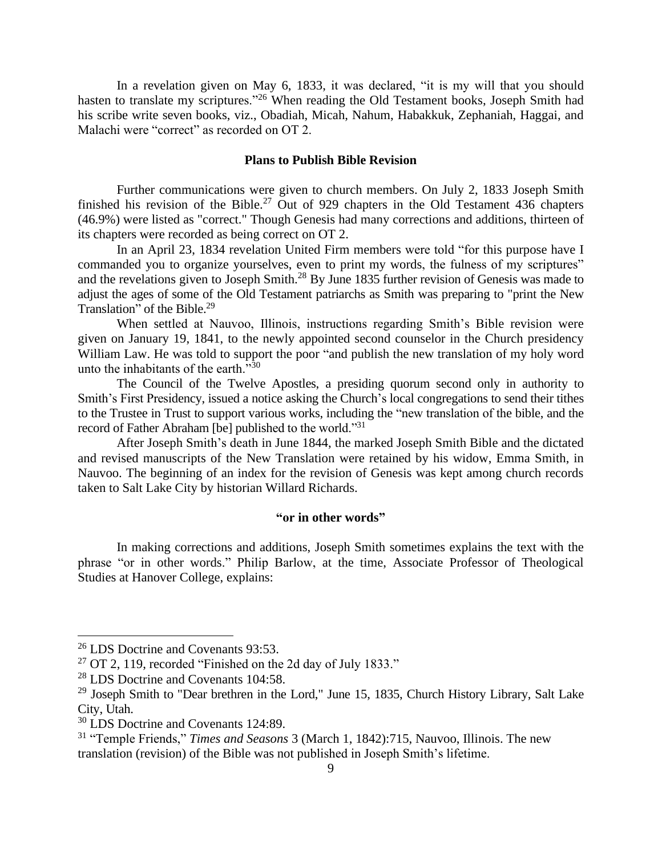In a revelation given on May 6, 1833, it was declared, "it is my will that you should hasten to translate my scriptures."<sup>26</sup> When reading the Old Testament books, Joseph Smith had his scribe write seven books, viz., Obadiah, Micah, Nahum, Habakkuk, Zephaniah, Haggai, and Malachi were "correct" as recorded on OT 2.

## **Plans to Publish Bible Revision**

Further communications were given to church members. On July 2, 1833 Joseph Smith finished his revision of the Bible.<sup>27</sup> Out of 929 chapters in the Old Testament 436 chapters (46.9%) were listed as "correct." Though Genesis had many corrections and additions, thirteen of its chapters were recorded as being correct on OT 2.

In an April 23, 1834 revelation United Firm members were told "for this purpose have I commanded you to organize yourselves, even to print my words, the fulness of my scriptures" and the revelations given to Joseph Smith.<sup>28</sup> By June 1835 further revision of Genesis was made to adjust the ages of some of the Old Testament patriarchs as Smith was preparing to "print the New Translation" of the Bible.<sup>29</sup>

When settled at Nauvoo, Illinois, instructions regarding Smith's Bible revision were given on January 19, 1841, to the newly appointed second counselor in the Church presidency William Law. He was told to support the poor "and publish the new translation of my holy word unto the inhabitants of the earth. $\frac{1}{30}$ 

The Council of the Twelve Apostles, a presiding quorum second only in authority to Smith's First Presidency, issued a notice asking the Church's local congregations to send their tithes to the Trustee in Trust to support various works, including the "new translation of the bible, and the record of Father Abraham [be] published to the world."<sup>31</sup>

After Joseph Smith's death in June 1844, the marked Joseph Smith Bible and the dictated and revised manuscripts of the New Translation were retained by his widow, Emma Smith, in Nauvoo. The beginning of an index for the revision of Genesis was kept among church records taken to Salt Lake City by historian Willard Richards.

# **"or in other words"**

In making corrections and additions, Joseph Smith sometimes explains the text with the phrase "or in other words." Philip Barlow, at the time, Associate Professor of Theological Studies at Hanover College, explains:

<sup>&</sup>lt;sup>26</sup> LDS Doctrine and Covenants 93:53.

 $27$  OT 2, 119, recorded "Finished on the 2d day of July 1833."

<sup>28</sup> LDS Doctrine and Covenants 104:58.

<sup>&</sup>lt;sup>29</sup> Joseph Smith to "Dear brethren in the Lord," June 15, 1835, Church History Library, Salt Lake City, Utah.

<sup>&</sup>lt;sup>30</sup> LDS Doctrine and Covenants 124:89.

<sup>31</sup> "Temple Friends," *Times and Seasons* 3 (March 1, 1842):715, Nauvoo, Illinois. The new translation (revision) of the Bible was not published in Joseph Smith's lifetime.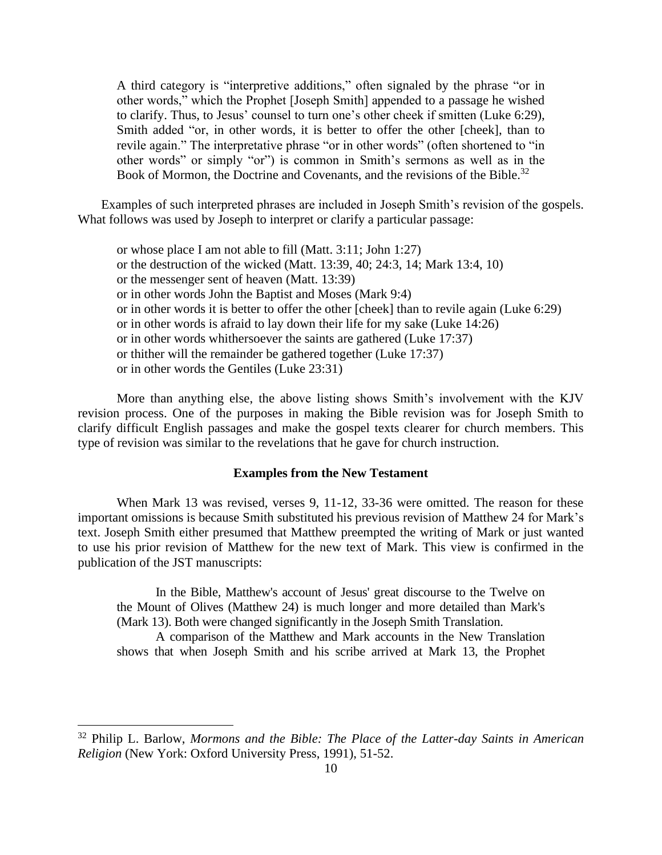A third category is "interpretive additions," often signaled by the phrase "or in other words," which the Prophet [Joseph Smith] appended to a passage he wished to clarify. Thus, to Jesus' counsel to turn one's other cheek if smitten (Luke 6:29), Smith added "or, in other words, it is better to offer the other [cheek], than to revile again." The interpretative phrase "or in other words" (often shortened to "in other words" or simply "or") is common in Smith's sermons as well as in the Book of Mormon, the Doctrine and Covenants, and the revisions of the Bible.<sup>32</sup>

Examples of such interpreted phrases are included in Joseph Smith's revision of the gospels. What follows was used by Joseph to interpret or clarify a particular passage:

or whose place I am not able to fill (Matt. 3:11; John 1:27) or the destruction of the wicked (Matt. 13:39, 40; 24:3, 14; Mark 13:4, 10) or the messenger sent of heaven (Matt. 13:39) or in other words John the Baptist and Moses (Mark 9:4) or in other words it is better to offer the other [cheek] than to revile again (Luke 6:29) or in other words is afraid to lay down their life for my sake (Luke 14:26) or in other words whithersoever the saints are gathered (Luke 17:37) or thither will the remainder be gathered together (Luke 17:37) or in other words the Gentiles (Luke 23:31)

More than anything else, the above listing shows Smith's involvement with the KJV revision process. One of the purposes in making the Bible revision was for Joseph Smith to clarify difficult English passages and make the gospel texts clearer for church members. This type of revision was similar to the revelations that he gave for church instruction.

#### **Examples from the New Testament**

When Mark 13 was revised, verses 9, 11-12, 33-36 were omitted. The reason for these important omissions is because Smith substituted his previous revision of Matthew 24 for Mark's text. Joseph Smith either presumed that Matthew preempted the writing of Mark or just wanted to use his prior revision of Matthew for the new text of Mark. This view is confirmed in the publication of the JST manuscripts:

In the Bible, Matthew's account of Jesus' great discourse to the Twelve on the Mount of Olives (Matthew 24) is much longer and more detailed than Mark's (Mark 13). Both were changed significantly in the Joseph Smith Translation.

A comparison of the Matthew and Mark accounts in the New Translation shows that when Joseph Smith and his scribe arrived at Mark 13, the Prophet

<sup>32</sup> Philip L. Barlow, *Mormons and the Bible: The Place of the Latter-day Saints in American Religion* (New York: Oxford University Press, 1991), 51-52.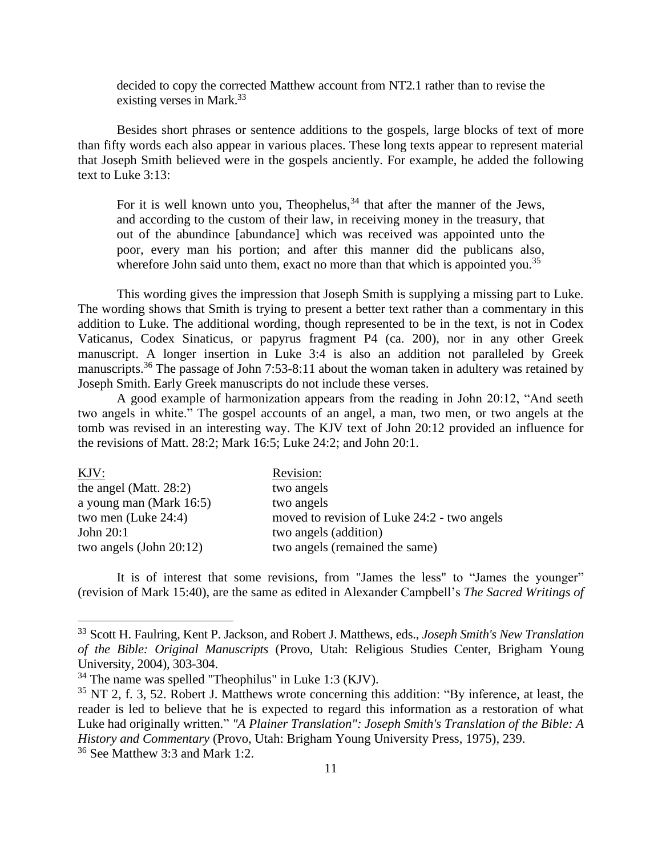decided to copy the corrected Matthew account from NT2.1 rather than to revise the existing verses in Mark.<sup>33</sup>

Besides short phrases or sentence additions to the gospels, large blocks of text of more than fifty words each also appear in various places. These long texts appear to represent material that Joseph Smith believed were in the gospels anciently. For example, he added the following text to Luke 3:13:

For it is well known unto you, Theophelus,  $34$  that after the manner of the Jews, and according to the custom of their law, in receiving money in the treasury, that out of the abundince [abundance] which was received was appointed unto the poor, every man his portion; and after this manner did the publicans also, wherefore John said unto them, exact no more than that which is appointed you.<sup>35</sup>

This wording gives the impression that Joseph Smith is supplying a missing part to Luke. The wording shows that Smith is trying to present a better text rather than a commentary in this addition to Luke. The additional wording, though represented to be in the text, is not in Codex Vaticanus, Codex Sinaticus, or papyrus fragment P4 (ca. 200), nor in any other Greek manuscript. A longer insertion in Luke 3:4 is also an addition not paralleled by Greek manuscripts.<sup>36</sup> The passage of John 7:53-8:11 about the woman taken in adultery was retained by Joseph Smith. Early Greek manuscripts do not include these verses.

A good example of harmonization appears from the reading in John 20:12, "And seeth two angels in white." The gospel accounts of an angel, a man, two men, or two angels at the tomb was revised in an interesting way. The KJV text of John 20:12 provided an influence for the revisions of Matt. 28:2; Mark 16:5; Luke 24:2; and John 20:1.

| KJV:                       | Revision:                                   |  |
|----------------------------|---------------------------------------------|--|
| the angel (Matt. $28:2$ )  | two angels                                  |  |
| a young man (Mark 16:5)    | two angels                                  |  |
| two men (Luke 24:4)        | moved to revision of Luke 24:2 - two angels |  |
| John 20:1                  | two angels (addition)                       |  |
| two angels (John $20:12$ ) | two angels (remained the same)              |  |

It is of interest that some revisions, from "James the less" to "James the younger" (revision of Mark 15:40), are the same as edited in Alexander Campbell's *The Sacred Writings of* 

<sup>33</sup> Scott H. Faulring, Kent P. Jackson, and Robert J. Matthews, eds., *Joseph Smith's New Translation of the Bible: Original Manuscripts* (Provo, Utah: Religious Studies Center, Brigham Young University, 2004), 303-304.

<sup>34</sup> The name was spelled "Theophilus" in Luke 1:3 (KJV).

<sup>&</sup>lt;sup>35</sup> NT 2, f. 3, 52. Robert J. Matthews wrote concerning this addition: "By inference, at least, the reader is led to believe that he is expected to regard this information as a restoration of what Luke had originally written." *"A Plainer Translation": Joseph Smith's Translation of the Bible: A History and Commentary* (Provo, Utah: Brigham Young University Press, 1975), 239.

<sup>36</sup> See Matthew 3:3 and Mark 1:2.